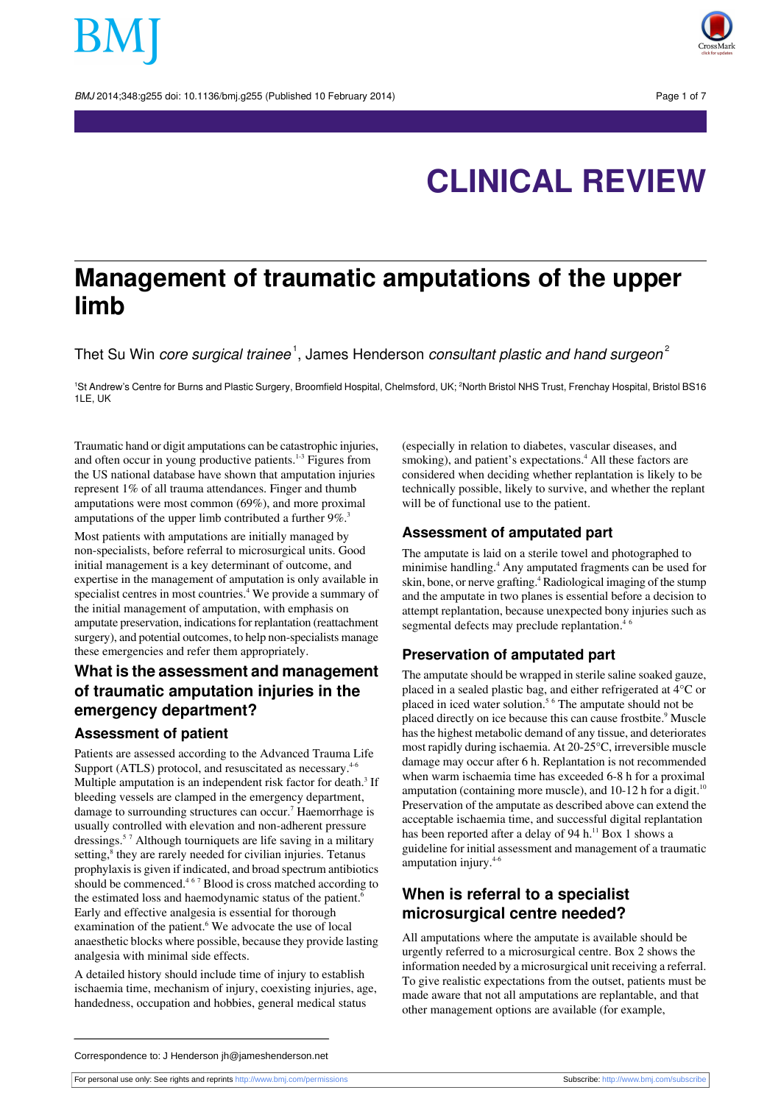BMJ 2014:348:g255 doi: 10.1136/bmi.g255 (Published 10 February 2014) Page 1 of 7



# **CLINICAL REVIEW**

## **Management of traumatic amputations of the upper limb**

Thet Su Win *core surgical trainee*  $^1$ , James Henderson *consultant plastic and hand surgeon* $^2$ 

<sup>1</sup>St Andrew's Centre for Burns and Plastic Surgery, Broomfield Hospital, Chelmsford, UK; <sup>2</sup>North Bristol NHS Trust, Frenchay Hospital, Bristol BS16  $1$ LE, LIK

Traumatic hand or digit amputations can be catastrophic injuries, and often occur in young productive patients.<sup>1-3</sup> Figures from the US national database have shown that amputation injuries represent 1% of all trauma attendances. Finger and thumb amputations were most common (69%), and more proximal amputations of the upper limb contributed a further 9%.<sup>3</sup>

Most patients with amputations are initially managed by non-specialists, before referral to microsurgical units. Good initial management is a key determinant of outcome, and expertise in the management of amputation is only available in specialist centres in most countries.<sup>4</sup> We provide a summary of the initial management of amputation, with emphasis on amputate preservation, indications for replantation (reattachment surgery), and potential outcomes, to help non-specialists manage these emergencies and refer them appropriately.

### **What is the assessment and management of traumatic amputation injuries in the emergency department?**

### **Assessment of patient**

Patients are assessed according to the Advanced Trauma Life Support (ATLS) protocol, and resuscitated as necessary.<sup>4-6</sup> Multiple amputation is an independent risk factor for death.<sup>3</sup> If bleeding vessels are clamped in the emergency department, damage to surrounding structures can occur.<sup>7</sup> Haemorrhage is usually controlled with elevation and non-adherent pressure dressings.<sup>5</sup> <sup>7</sup> Although tourniquets are life saving in a military setting,<sup>8</sup> they are rarely needed for civilian injuries. Tetanus prophylaxisis given if indicated, and broad spectrum antibiotics should be commenced.<sup>467</sup> Blood is cross matched according to the estimated loss and haemodynamic status of the patient.<sup>6</sup> Early and effective analgesia is essential for thorough examination of the patient.<sup>6</sup> We advocate the use of local anaesthetic blocks where possible, because they provide lasting analgesia with minimal side effects.

A detailed history should include time of injury to establish ischaemia time, mechanism of injury, coexisting injuries, age, handedness, occupation and hobbies, general medical status

(especially in relation to diabetes, vascular diseases, and smoking), and patient's expectations.<sup>4</sup> All these factors are considered when deciding whether replantation is likely to be technically possible, likely to survive, and whether the replant will be of functional use to the patient.

### **Assessment of amputated part**

The amputate is laid on a sterile towel and photographed to minimise handling.<sup>4</sup> Any amputated fragments can be used for skin, bone, or nerve grafting.<sup>4</sup> Radiological imaging of the stump and the amputate in two planes is essential before a decision to attempt replantation, because unexpected bony injuries such as segmental defects may preclude replantation.<sup>4</sup>

### **Preservation of amputated part**

The amputate should be wrapped in sterile saline soaked gauze, placed in a sealed plastic bag, and either refrigerated at 4°C or placed in iced water solution.<sup>5</sup> <sup>6</sup> The amputate should not be placed directly on ice because this can cause frostbite.<sup>9</sup> Muscle hasthe highest metabolic demand of any tissue, and deteriorates most rapidly during ischaemia. At 20-25°C, irreversible muscle damage may occur after 6 h. Replantation is not recommended when warm ischaemia time has exceeded 6-8 h for a proximal amputation (containing more muscle), and  $10-12$  h for a digit.<sup>10</sup> Preservation of the amputate as described above can extend the acceptable ischaemia time, and successful digital replantation has been reported after a delay of 94 h.<sup>11</sup> Box 1 shows a guideline for initial assessment and management of a traumatic amputation injury.4-6

### **When is referral to a specialist microsurgical centre needed?**

All amputations where the amputate is available should be urgently referred to a microsurgical centre. Box 2 shows the information needed by a microsurgical unit receiving a referral. To give realistic expectations from the outset, patients must be made aware that not all amputations are replantable, and that other management options are available (for example,

Correspondence to: J Henderson jh@jameshenderson.net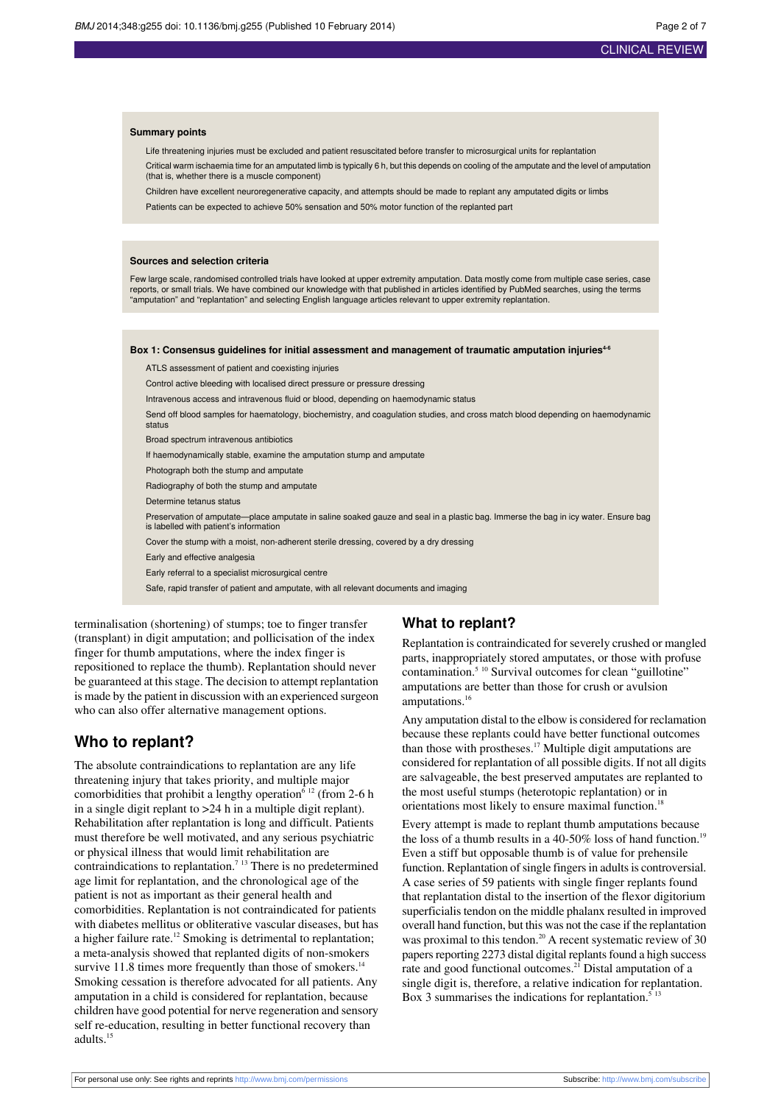### CLINICAL REVIEW

#### **Summary points**

Life threatening injuries must be excluded and patient resuscitated before transfer to microsurgical units for replantation Critical warm ischaemia time for an amputated limb is typically 6 h, but this depends on cooling of the amputate and the level of amputation

(that is, whether there is a muscle component)

Children have excellent neuroregenerative capacity, and attempts should be made to replant any amputated digits or limbs

Patients can be expected to achieve 50% sensation and 50% motor function of the replanted part

#### **Sources and selection criteria**

Few large scale, randomised controlled trials have looked at upper extremity amputation. Data mostly come from multiple case series, case reports, or small trials. We have combined our knowledge with that published in articles identified by PubMed searches, using the terms "amputation" and "replantation" and selecting English language articles relevant to upper extremity replantation.

#### **Box 1: Consensus guidelines for initial assessment and management of traumatic amputation injuries4-6**

ATLS assessment of patient and coexisting injuries

Control active bleeding with localised direct pressure or pressure dressing

Intravenous access and intravenous fluid or blood, depending on haemodynamic status

Send off blood samples for haematology, biochemistry, and coagulation studies, and cross match blood depending on haemodynamic status

Broad spectrum intravenous antibiotics

If haemodynamically stable, examine the amputation stump and amputate

Photograph both the stump and amputate

Radiography of both the stump and amputate

Determine tetanus status

Preservation of amputate—place amputate in saline soaked gauze and seal in a plastic bag. Immerse the bag in icy water. Ensure bag is labelled with patient's information

Cover the stump with a moist, non-adherent sterile dressing, covered by a dry dressing

Early and effective analgesia

Early referral to a specialist microsurgical centre

Safe, rapid transfer of patient and amputate, with all relevant documents and imaging

terminalisation (shortening) of stumps; toe to finger transfer (transplant) in digit amputation; and pollicisation of the index finger for thumb amputations, where the index finger is repositioned to replace the thumb). Replantation should never be guaranteed at this stage. The decision to attempt replantation is made by the patient in discussion with an experienced surgeon who can also offer alternative management options.

### **Who to replant?**

The absolute contraindications to replantation are any life threatening injury that takes priority, and multiple major comorbidities that prohibit a lengthy operation<sup>6 12</sup> (from 2-6 h in a single digit replant to >24 h in a multiple digit replant). Rehabilitation after replantation is long and difficult. Patients must therefore be well motivated, and any serious psychiatric or physical illness that would limit rehabilitation are contraindications to replantation.<sup>7</sup><sup>13</sup> There is no predetermined age limit for replantation, and the chronological age of the patient is not as important as their general health and comorbidities. Replantation is not contraindicated for patients with diabetes mellitus or obliterative vascular diseases, but has a higher failure rate.<sup>12</sup> Smoking is detrimental to replantation; a meta-analysis showed that replanted digits of non-smokers survive 11.8 times more frequently than those of smokers.<sup>14</sup> Smoking cessation is therefore advocated for all patients. Any amputation in a child is considered for replantation, because children have good potential for nerve regeneration and sensory self re-education, resulting in better functional recovery than adults.<sup>15</sup>

#### **What to replant?**

Replantation is contraindicated for severely crushed or mangled parts, inappropriately stored amputates, or those with profuse contamination.<sup>5 10</sup> Survival outcomes for clean "guillotine" amputations are better than those for crush or avulsion amputations. $16$ 

Any amputation distal to the elbow is considered for reclamation because these replants could have better functional outcomes than those with prostheses.<sup>17</sup> Multiple digit amputations are considered for replantation of all possible digits. If not all digits are salvageable, the best preserved amputates are replanted to the most useful stumps (heterotopic replantation) or in orientations most likely to ensure maximal function.<sup>18</sup>

Every attempt is made to replant thumb amputations because the loss of a thumb results in a 40-50% loss of hand function.<sup>19</sup> Even a stiff but opposable thumb is of value for prehensile function. Replantation of single fingers in adults is controversial. A case series of 59 patients with single finger replants found that replantation distal to the insertion of the flexor digitorium superficialis tendon on the middle phalanx resulted in improved overall hand function, but this was not the case if the replantation was proximal to this tendon.<sup>20</sup> A recent systematic review of 30 papers reporting 2273 distal digital replants found a high success rate and good functional outcomes.<sup>21</sup> Distal amputation of a single digit is, therefore, a relative indication for replantation. Box 3 summarises the indications for replantation.<sup>5 13</sup>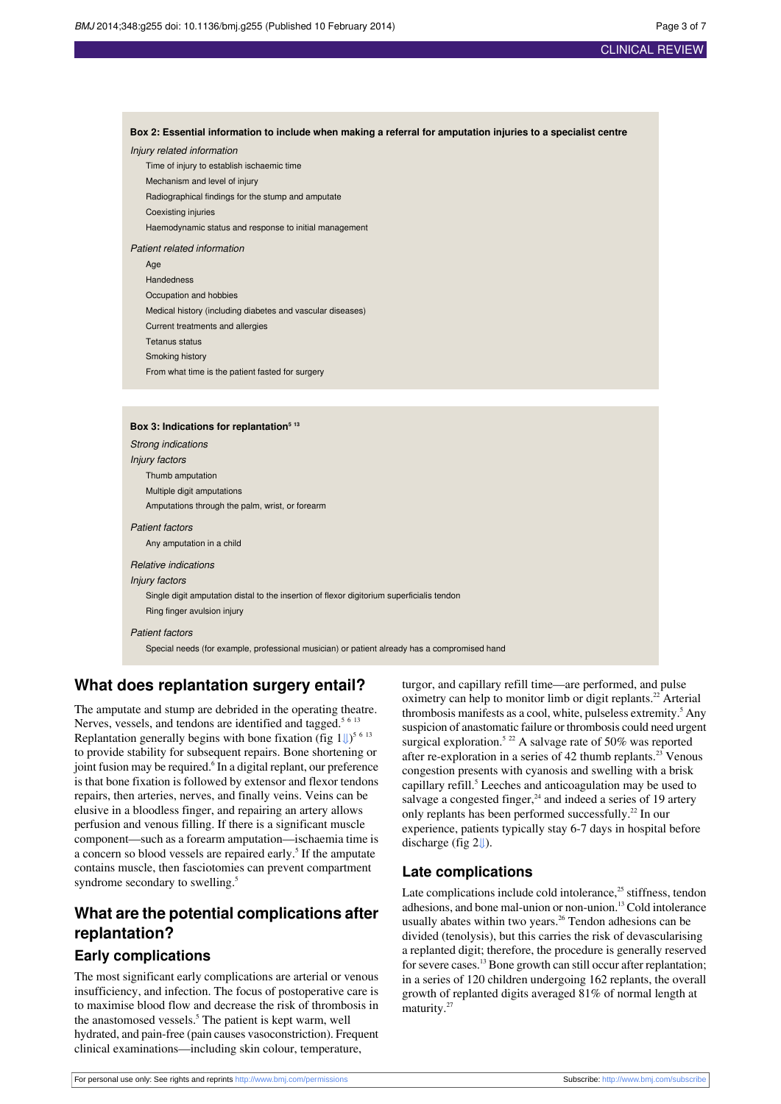### CLINICAL REVIEW

Box 2: Essential information to include when making a referral for amputation injuries to a specialist centre Injury related information Time of injury to establish ischaemic time

Mechanism and level of injury Radiographical findings for the stump and amputate Coexisting injuries Haemodynamic status and response to initial management Patient related information Age Handedness Occupation and hobbies Medical history (including diabetes and vascular diseases) Current treatments and allergies Tetanus status Smoking history From what time is the patient fasted for surgery

#### **Box 3: Indications for replantation<sup>5</sup> <sup>13</sup>**

Strong indications Injury factors Thumb amputation Multiple digit amputations Amputations through the palm, wrist, or forearm Patient factors Any amputation in a child Relative indications Injury factors Single digit amputation distal to the insertion of flexor digitorium superficialis tendon Ring finger avulsion injury Patient factors Special needs (for example, professional musician) or patient already has a compromised hand

### **What does replantation surgery entail?**

The amputate and stump are debrided in the operating theatre. Nerves, vessels, and tendons are identified and tagged.<sup>5 6 13</sup> Replantation generally begins with bone fixation (fig  $1\text{L}^{56-13}$ ) to provide stability for subsequent repairs. Bone shortening or joint fusion may be required.<sup>6</sup> In a digital replant, our preference is that bone fixation is followed by extensor and flexor tendons repairs, then arteries, nerves, and finally veins. Veins can be elusive in a bloodless finger, and repairing an artery allows perfusion and venous filling. If there is a significant muscle component—such as a forearm amputation—ischaemia time is a concern so blood vessels are repaired early.<sup>5</sup> If the amputate contains muscle, then fasciotomies can prevent compartment syndrome secondary to swelling.<sup>5</sup>

### **What are the potential complications after replantation?**

### **Early complications**

The most significant early complications are arterial or venous insufficiency, and infection. The focus of postoperative care is to maximise blood flow and decrease the risk of thrombosis in the anastomosed vessels.<sup>5</sup> The patient is kept warm, well hydrated, and pain-free (pain causes vasoconstriction). Frequent clinical examinations—including skin colour, temperature,

turgor, and capillary refill time—are performed, and pulse oximetry can help to monitor limb or digit replants.<sup>22</sup> Arterial thrombosis manifests as a cool, white, pulseless extremity.<sup>5</sup> Any suspicion of anastomatic failure or thrombosis could need urgent surgical exploration.<sup>5 22</sup> A salvage rate of 50% was reported after re-exploration in a series of 42 thumb replants.<sup>23</sup> Venous congestion presents with cyanosis and swelling with a brisk capillary refill.<sup>5</sup> Leeches and anticoagulation may be used to salvage a congested finger, $24$  and indeed a series of 19 artery only replants has been performed successfully.<sup>22</sup> In our experience, patients typically stay 6-7 days in hospital before discharge (fig [2⇓](#page-5-1)).

### **Late complications**

Late complications include cold intolerance, $25$  stiffness, tendon adhesions, and bone mal-union or non-union.<sup>13</sup> Cold intolerance usually abates within two years.<sup>26</sup> Tendon adhesions can be divided (tenolysis), but this carries the risk of devascularising a replanted digit; therefore, the procedure is generally reserved for severe cases.<sup>13</sup> Bone growth can still occur after replantation; in a series of 120 children undergoing 162 replants, the overall growth of replanted digits averaged 81% of normal length at maturity.<sup>27</sup>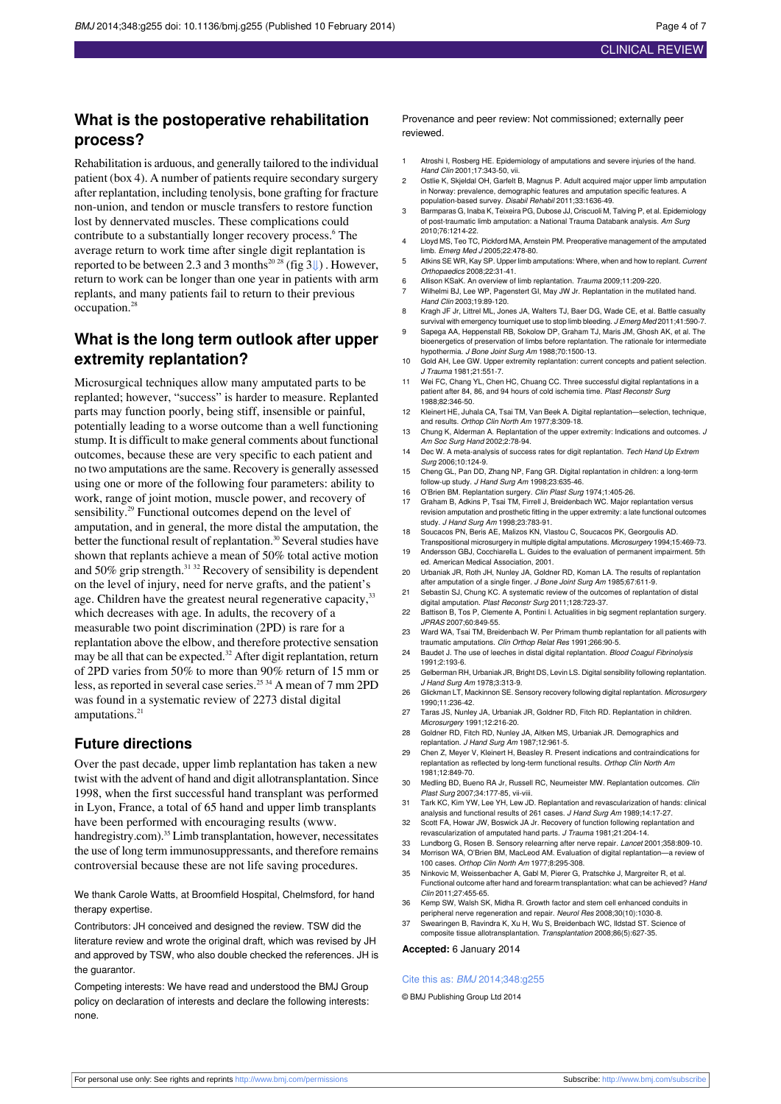### **What is the postoperative rehabilitation process?**

Rehabilitation is arduous, and generally tailored to the individual patient (box 4). A number of patients require secondary surgery after replantation, including tenolysis, bone grafting for fracture non-union, and tendon or muscle transfers to restore function lost by dennervated muscles. These complications could contribute to a substantially longer recovery process.<sup>6</sup> The average return to work time after single digit replantation is reported to be between 2.3 and 3 months<sup>20 28</sup> (fig 3 $\parallel$ ). However, return to work can be longer than one year in patients with arm replants, and many patients fail to return to their previous occupation.<sup>28</sup>

### **What is the long term outlook after upper extremity replantation?**

Microsurgical techniques allow many amputated parts to be replanted; however, "success" is harder to measure. Replanted parts may function poorly, being stiff, insensible or painful, potentially leading to a worse outcome than a well functioning stump. It is difficult to make general comments about functional outcomes, because these are very specific to each patient and no two amputations are the same. Recovery is generally assessed using one or more of the following four parameters: ability to work, range of joint motion, muscle power, and recovery of sensibility.<sup>29</sup> Functional outcomes depend on the level of amputation, and in general, the more distal the amputation, the better the functional result of replantation.<sup>30</sup> Several studies have shown that replants achieve a mean of 50% total active motion and 50% grip strength. $31^{32}$  Recovery of sensibility is dependent on the level of injury, need for nerve grafts, and the patient's age. Children have the greatest neural regenerative capacity, 33 which decreases with age. In adults, the recovery of a measurable two point discrimination (2PD) is rare for a replantation above the elbow, and therefore protective sensation may be all that can be expected.<sup>32</sup> After digit replantation, return of 2PD varies from 50% to more than 90% return of 15 mm or less, as reported in several case series.<sup>25 34</sup> A mean of 7 mm 2PD was found in a systematic review of 2273 distal digital amputations.<sup>21</sup>

### **Future directions**

Over the past decade, upper limb replantation has taken a new twist with the advent of hand and digit allotransplantation. Since 1998, when the first successful hand transplant was performed in Lyon, France, a total of 65 hand and upper limb transplants have been performed with encouraging results [\(www.](http://www.handregistry.com/)

[handregistry.com\)](http://www.handregistry.com/).<sup>35</sup> Limb transplantation, however, necessitates the use of long term immunosuppressants, and therefore remains controversial because these are not life saving procedures.

We thank Carole Watts, at Broomfield Hospital, Chelmsford, for hand therapy expertise.

Contributors: JH conceived and designed the review. TSW did the literature review and wrote the original draft, which was revised by JH and approved by TSW, who also double checked the references. JH is the guarantor.

Competing interests: We have read and understood the BMJ Group policy on declaration of interests and declare the following interests: none.

Provenance and peer review: Not commissioned; externally peer reviewed.

- 1 Atroshi I, Rosberg HE. Epidemiology of amputations and severe injuries of the hand. Hand Clin 2001;17:343-50, vii.
- 2 Ostlie K, Skjeldal OH, Garfelt B, Magnus P. Adult acquired major upper limb amputation in Norway: prevalence, demographic features and amputation specific features. A population-based survey. Disabil Rehabil 2011;33:1636-49.
- 3 Barmparas G, Inaba K, Teixeira PG, Dubose JJ, Criscuoli M, Talving P, et al. Epidemiology of post-traumatic limb amputation: a National Trauma Databank analysis. Am Surg 2010;76:1214-22.
- 4 Lloyd MS, Teo TC, Pickford MA, Arnstein PM. Preoperative management of the amputated limb. Emerg Med J 2005;22:478-80.
- 5 Atkins SE WR, Kay SP. Upper limb amputations: Where, when and how to replant. Current Orthopaedics 2008;22:31-41.
- 6 Allison KSaK. An overview of limb replantation. Trauma 2009;11:209-220.
- Wilhelmi BJ, Lee WP, Pagenstert GI, May JW Jr. Replantation in the mutilated hand. Hand Clin 2003;19:89-120.
- 8 Kragh JF Jr, Littrel ML, Jones JA, Walters TJ, Baer DG, Wade CE, et al. Battle casualty survival with emergency tourniquet use to stop limb bleeding. J Emerg Med 2011;41:590-7.
- Sapega AA, Heppenstall RB, Sokolow DP, Graham TJ, Maris JM, Ghosh AK, et al. The bioenergetics of preservation of limbs before replantation. The rationale for intermediate hypothermia. J Bone Joint Surg Am 1988;70:1500-13.
- 10 Gold AH, Lee GW. Upper extremity replantation: current concepts and patient selection. J Trauma 1981;21:551-7.
- 11 Wei FC, Chang YL, Chen HC, Chuang CC. Three successful digital replantations in a patient after 84, 86, and 94 hours of cold ischemia time. Plast Reconstr Surg 1988;82:346-50.
- 12 Kleinert HE, Juhala CA, Tsai TM, Van Beek A. Digital replantation—selection, technique, and results. Orthop Clin North Am 1977;8:309-18.
- 13 Chung K, Alderman A. Replantation of the upper extremity: Indications and outcomes. J Am Soc Surg Hand 2002;2:78-94.
- 14 Dec W. A meta-analysis of success rates for digit replantation. Tech Hand Up Extrem Surg 2006;10:124-9.
- 15 Cheng GL, Pan DD, Zhang NP, Fang GR. Digital replantation in children: a long-term follow-up study. J Hand Surg Am 1998;23:635-46.
- 16 O'Brien BM. Replantation surgery. Clin Plast Surg 1974;1:405-26.
- 17 Graham B, Adkins P, Tsai TM, Firrell J, Breidenbach WC. Major replantation versus revision amputation and prosthetic fitting in the upper extremity: a late functional outcomes study. J Hand Surg Am 1998;23:783-91.
- 18 Soucacos PN, Beris AE, Malizos KN, Vlastou C, Soucacos PK, Georgoulis AD. Transpositional microsurgery in multiple digital amputations. Microsurgery 1994;15:469-73.
- 19 Andersson GBJ, Cocchiarella L. Guides to the evaluation of permanent impairment. 5th ed. American Medical Association, 2001.
- 20 Urbaniak JR, Roth JH, Nunley JA, Goldner RD, Koman LA. The results of repla after amputation of a single finger. J Bone Joint Surg Am 1985;67:611-9.
- 21 Sebastin SJ, Chung KC. A systematic review of the outcomes of replantation of distal digital amputation. Plast Reconstr Surg 2011;128:723-37.
- 22 Battison B, Tos P, Clemente A, Pontini I. Actualities in big segment replantation surgery. JPRAS 2007;60:849-55.
- 23 Ward WA, Tsai TM, Breidenbach W. Per Primam thumb replantation for all patients with traumatic amputations. Clin Orthop Relat Res 1991;266:90-5.
- 24 Baudet J. The use of leeches in distal digital replantation. Blood Coagul Fibrinolysis 1991;2:193-6.
- 25 Gelberman RH, Urbaniak JR, Bright DS, Levin LS. Digital sensibility following replantation. J Hand Surg Am 1978;3:313-9.
- 26 Glickman LT, Mackinnon SE. Sensory recovery following digital replantation. Microsurgery 1990;11:236-42.
- 27 Taras JS, Nunley JA, Urbaniak JR, Goldner RD, Fitch RD. Replantation in children. Microsurgery 1991;12:216-20.
- 28 Goldner RD, Fitch RD, Nunley JA, Aitken MS, Urbaniak JR. Demographics and replantation. J Hand Surg Am 1987;12:961-5.
- 29 Chen Z, Meyer V, Kleinert H, Beasley R. Present indications and contraindications for replantation as reflected by long-term functional results. Orthop Clin North Am 1981;12:849-70.
- 30 Medling BD, Bueno RA Jr, Russell RC, Neumeister MW. Replantation outcomes. Clin Plast Surg 2007;34:177-85, vii-viii.
- 31 Tark KC, Kim YW, Lee YH, Lew JD. Replantation and revascularization of hands: clinical analysis and functional results of 261 cases. J Hand Surg Am 1989;14:17-27.
- 32 Scott FA, Howar JW, Boswick JA Jr. Recovery of function following replantation and revascularization of amputated hand parts. J Trauma 1981;21:204-14.
- 33 Lundborg G, Rosen B. Sensory relearning after nerve repair. Lancet 2001;358:809-10.<br>34 Morrison WA. O'Brien BM. MacLeod AM. Evaluation of digital replantation-a review o
- Morrison WA, O'Brien BM, MacLeod AM. Evaluation of digital replantation 100 cases. Orthop Clin North Am 1977;8:295-308.
- 35 Ninkovic M, Weissenbacher A, Gabl M, Pierer G, Pratschke J, Margreiter R, et al. Functional outcome after hand and forearm transplantation: what can be achieved? Hand Clin 2011;27:455-65.
- 36 Kemp SW, Walsh SK, Midha R. Growth factor and stem cell enhanced conduits in peripheral nerve regeneration and repair. Neurol Res 2008;30(10):1030-8.
- 37 Swearingen B, Ravindra K, Xu H, Wu S, Breidenbach WC, Ildstad ST. Science of composite tissue allotransplantation. Transplantation 2008;86(5):627-35.

**Accepted:** 6 January 2014

#### Cite this as: BMJ 2014;348:g255

© BMJ Publishing Group Ltd 2014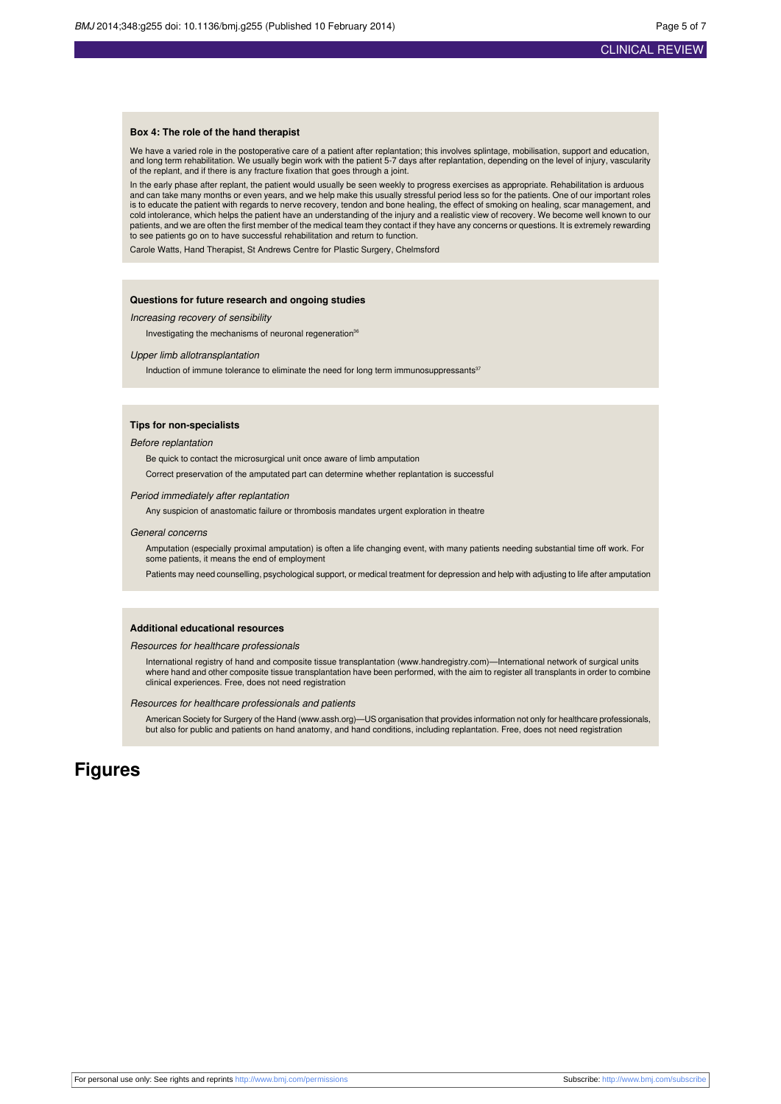#### **Box 4: The role of the hand therapist**

We have a varied role in the postoperative care of a patient after replantation; this involves splintage, mobilisation, support and education, and long term rehabilitation. We usually begin work with the patient 5-7 days after replantation, depending on the level of injury, vascularity of the replant, and if there is any fracture fixation that goes through a joint.

In the early phase after replant, the patient would usually be seen weekly to progress exercises as appropriate. Rehabilitation is arduous and can take many months or even years, and we help make this usually stressful period less so for the patients. One of our important roles is to educate the patient with regards to nerve recovery, tendon and bone healing, the effect of smoking on healing, scar management, and cold intolerance, which helps the patient have an understanding of the injury and a realistic view of recovery. We become well known to our<br>patients, and we are often the first member of the medical team they contact if th to see patients go on to have successful rehabilitation and return to function.

Carole Watts, Hand Therapist, St Andrews Centre for Plastic Surgery, Chelmsford

#### **Questions for future research and ongoing studies**

Increasing recovery of sensibility

Investigating the mechanisms of neuronal regeneration<sup>36</sup>

#### Upper limb allotransplantation

Induction of immune tolerance to eliminate the need for long term immunosuppressants $37$ 

#### **Tips for non-specialists**

#### Before replantation

Be quick to contact the microsurgical unit once aware of limb amputation

Correct preservation of the amputated part can determine whether replantation is successful

#### Period immediately after replantation

Any suspicion of anastomatic failure or thrombosis mandates urgent exploration in theatre

#### General concerns

Amputation (especially proximal amputation) is often a life changing event, with many patients needing substantial time off work. For some patients, it means the end of employment

Patients may need counselling, psychological support, or medical treatment for depression and help with adjusting to life after amputation

#### **Additional educational resources**

#### Resources for healthcare professionals

International registry of hand and composite tissue transplantation [\(www.handregistry.com\)](http://www.handregistry.com/)—International network of surgical units where hand and other composite tissue transplantation have been performed, with the aim to register all transplants in order to combine clinical experiences. Free, does not need registration

#### Resources for healthcare professionals and patients

American Society for Surgery of the Hand ([www.assh.org\)](http://www.assh.org/)—US organisation that provides information not only for healthcare professionals,<br>but also for public and patients on hand anatomy, and hand conditions, including repl

### **Figures**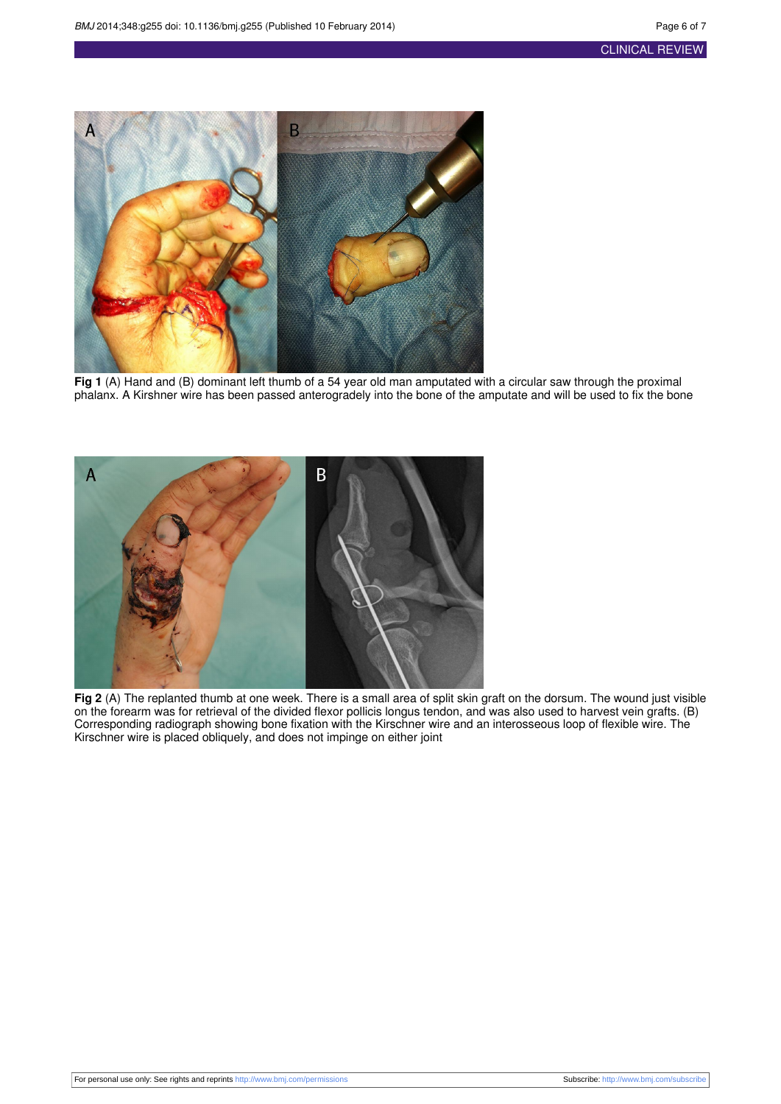<span id="page-5-0"></span>

**Fig 1** (A) Hand and (B) dominant left thumb of a 54 year old man amputated with a circular saw through the proximal phalanx. A Kirshner wire has been passed anterogradely into the bone of the amputate and will be used to fix the bone

<span id="page-5-1"></span>

**Fig 2** (A) The replanted thumb at one week. There is a small area of split skin graft on the dorsum. The wound just visible on the forearm was for retrieval of the divided flexor pollicis longus tendon, and was also used to harvest vein grafts. (B) Corresponding radiograph showing bone fixation with the Kirschner wire and an interosseous loop of flexible wire. The Kirschner wire is placed obliquely, and does not impinge on either joint